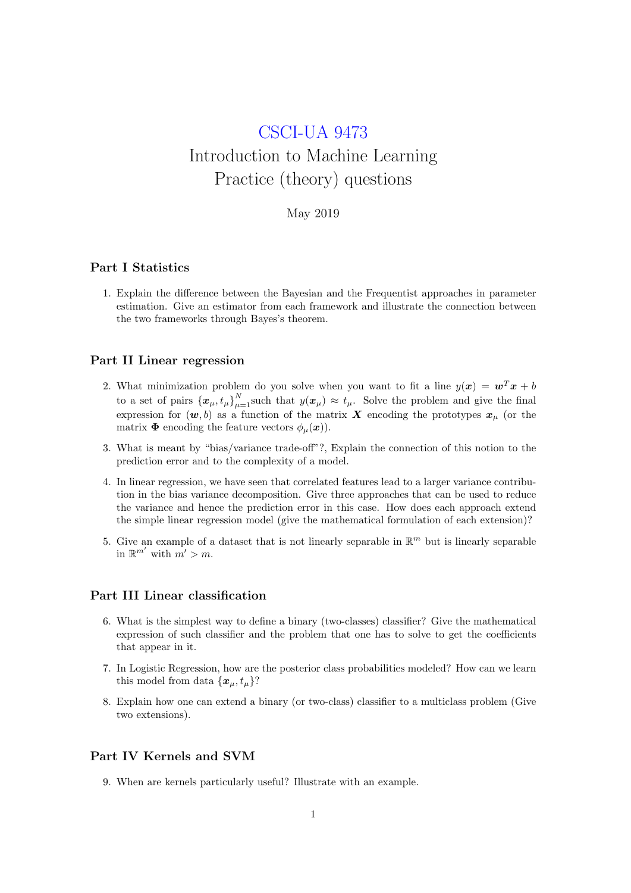# CSCI-UA 9473 Introduction to Machine Learning Practice (theory) questions

## May 2019

# Part I Statistics

1. Explain the difference between the Bayesian and the Frequentist approaches in parameter estimation. Give an estimator from each framework and illustrate the connection between the two frameworks through Bayes's theorem.

#### Part II Linear regression

- 2. What minimization problem do you solve when you want to fit a line  $y(x) = w^T x + b$ to a set of pairs  $\{x_{\mu}, t_{\mu}\}_{\mu=1}^{N}$  such that  $y(x_{\mu}) \approx t_{\mu}$ . Solve the problem and give the final expression for  $(w, b)$  as a function of the matrix X encoding the prototypes  $x_{\mu}$  (or the matrix  $\Phi$  encoding the feature vectors  $\phi_{\mu}(\boldsymbol{x})$ .
- 3. What is meant by "bias/variance trade-off"?, Explain the connection of this notion to the prediction error and to the complexity of a model.
- 4. In linear regression, we have seen that correlated features lead to a larger variance contribution in the bias variance decomposition. Give three approaches that can be used to reduce the variance and hence the prediction error in this case. How does each approach extend the simple linear regression model (give the mathematical formulation of each extension)?
- 5. Give an example of a dataset that is not linearly separable in  $\mathbb{R}^m$  but is linearly separable in  $\mathbb{R}^{m'}$  with  $m' > m$ .

#### Part III Linear classification

- 6. What is the simplest way to define a binary (two-classes) classifier? Give the mathematical expression of such classifier and the problem that one has to solve to get the coefficients that appear in it.
- 7. In Logistic Regression, how are the posterior class probabilities modeled? How can we learn this model from data  $\{\boldsymbol{x}_u, t_u\}$ ?
- 8. Explain how one can extend a binary (or two-class) classifier to a multiclass problem (Give two extensions).

## Part IV Kernels and SVM

9. When are kernels particularly useful? Illustrate with an example.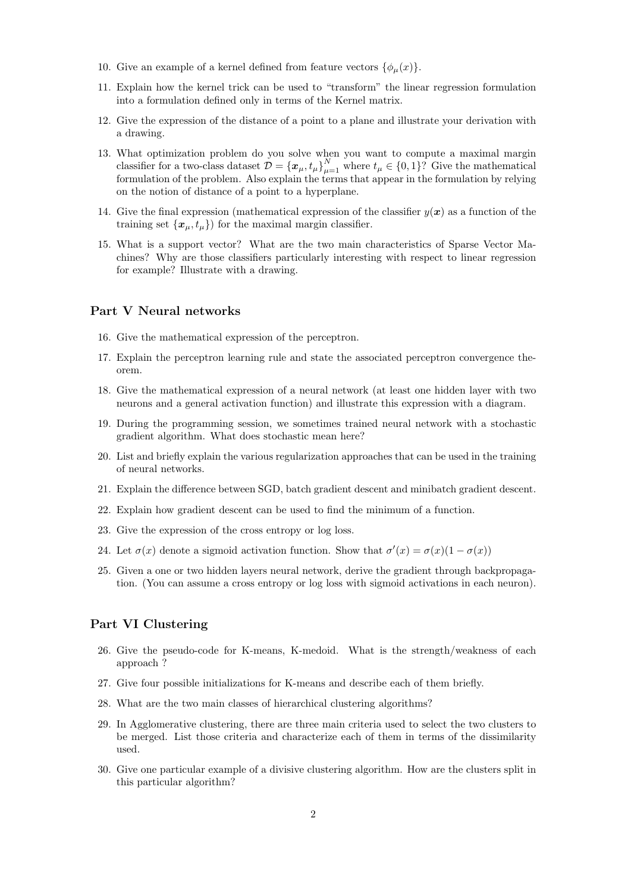- 10. Give an example of a kernel defined from feature vectors  $\{\phi_\mu(x)\}.$
- 11. Explain how the kernel trick can be used to "transform" the linear regression formulation into a formulation defined only in terms of the Kernel matrix.
- 12. Give the expression of the distance of a point to a plane and illustrate your derivation with a drawing.
- 13. What optimization problem do you solve when you want to compute a maximal margin classifier for a two-class dataset  $\mathcal{D} = {\{\boldsymbol{x}_{\mu},t_{\mu}\}}_{\mu=1}^{N}$  where  $t_{\mu} \in \{0,1\}$ ? Give the mathematical formulation of the problem. Also explain the terms that appear in the formulation by relying on the notion of distance of a point to a hyperplane.
- 14. Give the final expression (mathematical expression of the classifier  $y(x)$  as a function of the training set  $\{x_{\mu}, t_{\mu}\}\)$  for the maximal margin classifier.
- 15. What is a support vector? What are the two main characteristics of Sparse Vector Machines? Why are those classifiers particularly interesting with respect to linear regression for example? Illustrate with a drawing.

## Part V Neural networks

- 16. Give the mathematical expression of the perceptron.
- 17. Explain the perceptron learning rule and state the associated perceptron convergence theorem.
- 18. Give the mathematical expression of a neural network (at least one hidden layer with two neurons and a general activation function) and illustrate this expression with a diagram.
- 19. During the programming session, we sometimes trained neural network with a stochastic gradient algorithm. What does stochastic mean here?
- 20. List and briefly explain the various regularization approaches that can be used in the training of neural networks.
- 21. Explain the difference between SGD, batch gradient descent and minibatch gradient descent.
- 22. Explain how gradient descent can be used to find the minimum of a function.
- 23. Give the expression of the cross entropy or log loss.
- 24. Let  $\sigma(x)$  denote a sigmoid activation function. Show that  $\sigma'(x) = \sigma(x)(1 \sigma(x))$
- 25. Given a one or two hidden layers neural network, derive the gradient through backpropagation. (You can assume a cross entropy or log loss with sigmoid activations in each neuron).

## Part VI Clustering

- 26. Give the pseudo-code for K-means, K-medoid. What is the strength/weakness of each approach ?
- 27. Give four possible initializations for K-means and describe each of them briefly.
- 28. What are the two main classes of hierarchical clustering algorithms?
- 29. In Agglomerative clustering, there are three main criteria used to select the two clusters to be merged. List those criteria and characterize each of them in terms of the dissimilarity used.
- 30. Give one particular example of a divisive clustering algorithm. How are the clusters split in this particular algorithm?